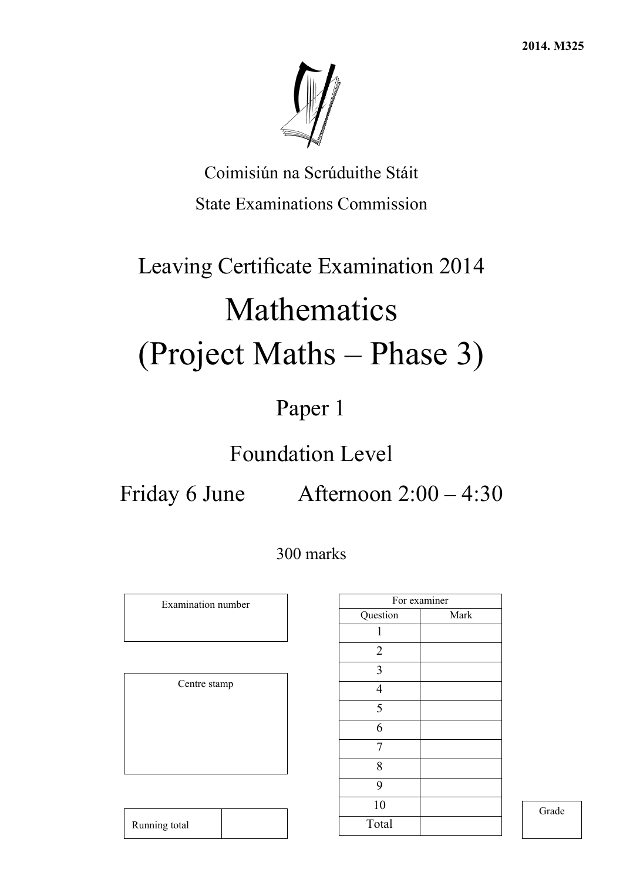

Coimisiún na Scrúduithe Stáit State Examinations Commission

# Leaving Certificate Examination 2014 Mathematics (Project Maths – Phase 3)

## Paper 1

## Foundation Level

Friday 6 June Afternoon 2:00 – 4:30

300 marks

Examination number

Centre stamp

Running total

|                | For examiner |
|----------------|--------------|
| Question       | Mark         |
| 1              |              |
| $\sqrt{2}$     |              |
| 3              |              |
| $\overline{4}$ |              |
| 5              |              |
| 6              |              |
| 7              |              |
| 8              |              |
| 9              |              |
| 10             |              |
| Total          |              |

Grade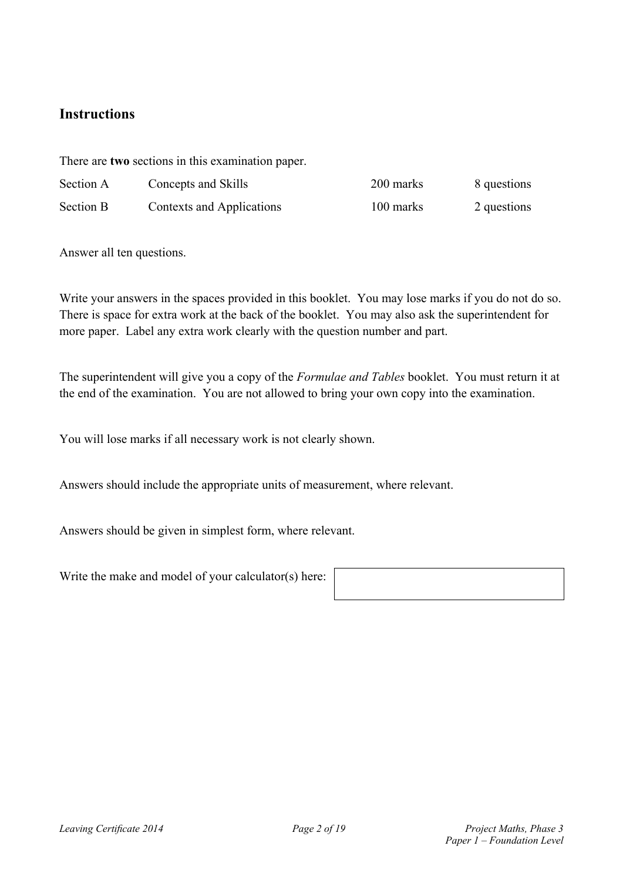### **Instructions**

There are **two** sections in this examination paper.

| Section A        | Concepts and Skills       | 200 marks | 8 questions |
|------------------|---------------------------|-----------|-------------|
| <b>Section B</b> | Contexts and Applications | 100 marks | 2 questions |

Answer all ten questions.

Write your answers in the spaces provided in this booklet. You may lose marks if you do not do so. There is space for extra work at the back of the booklet. You may also ask the superintendent for more paper. Label any extra work clearly with the question number and part.

The superintendent will give you a copy of the *Formulae and Tables* booklet. You must return it at the end of the examination. You are not allowed to bring your own copy into the examination.

You will lose marks if all necessary work is not clearly shown.

Answers should include the appropriate units of measurement, where relevant.

Answers should be given in simplest form, where relevant.

Write the make and model of your calculator(s) here: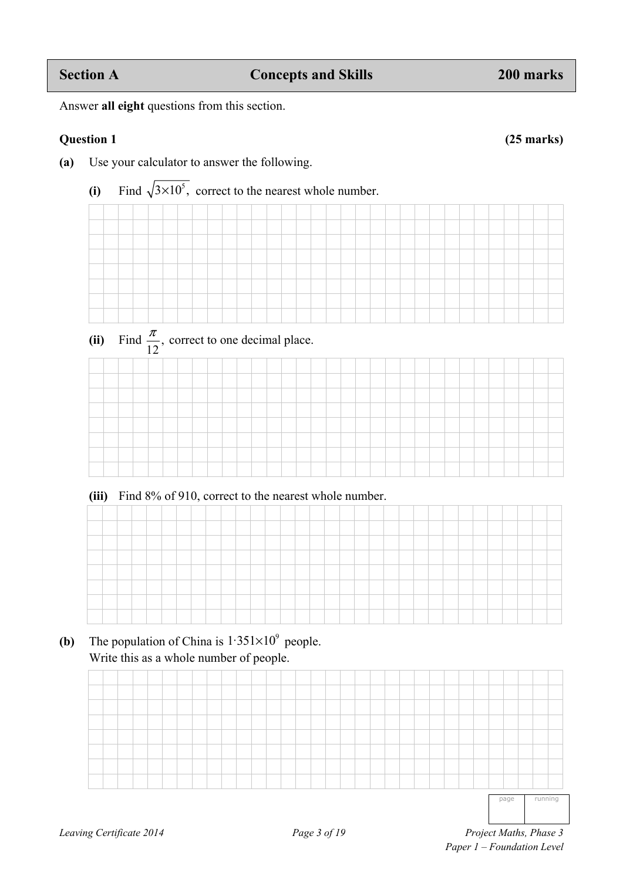Answer **all eight** questions from this section.

#### **Question 1 (25 marks)**

- **(a)** Use your calculator to answer the following.
	- (i) Find  $\sqrt{3 \times 10^5}$ , correct to the nearest whole number.
- (ii) Find  $\frac{\pi}{12}$ , correct to one decimal place.

| (iii) Find 8% of 910, correct to the nearest whole number. |  |  |  |  |  |  |  |  |  |  |  |  |  |  |
|------------------------------------------------------------|--|--|--|--|--|--|--|--|--|--|--|--|--|--|
|                                                            |  |  |  |  |  |  |  |  |  |  |  |  |  |  |
|                                                            |  |  |  |  |  |  |  |  |  |  |  |  |  |  |
|                                                            |  |  |  |  |  |  |  |  |  |  |  |  |  |  |
|                                                            |  |  |  |  |  |  |  |  |  |  |  |  |  |  |
|                                                            |  |  |  |  |  |  |  |  |  |  |  |  |  |  |
|                                                            |  |  |  |  |  |  |  |  |  |  |  |  |  |  |
|                                                            |  |  |  |  |  |  |  |  |  |  |  |  |  |  |
|                                                            |  |  |  |  |  |  |  |  |  |  |  |  |  |  |
|                                                            |  |  |  |  |  |  |  |  |  |  |  |  |  |  |
|                                                            |  |  |  |  |  |  |  |  |  |  |  |  |  |  |

**(b)** The population of China is  $1.351 \times 10^9$  people. Write this as a whole number of people.

page running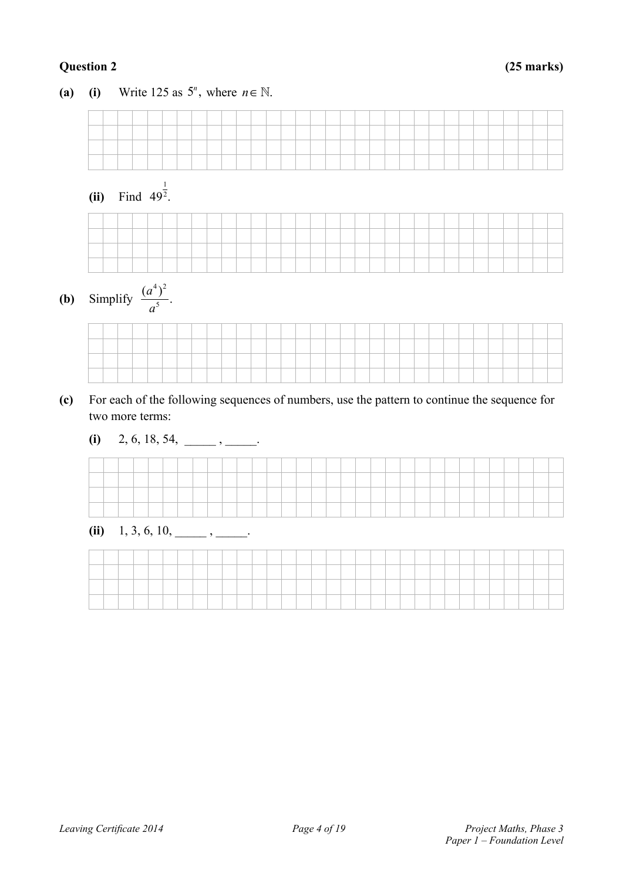### **Question 2 (25 marks)**

**(a) (i)** Write 125 as  $5^n$ , where  $n \in \mathbb{N}$ .  **(ii)** Find 1  $49^2$ .



**(b)** Simplify  $4\lambda^2$  $\frac{(a^4)^2}{a^5}$ . *a*

- **(c)** For each of the following sequences of numbers, use the pattern to continue the sequence for two more terms:
	- $(i)$  2, 6, 18, 54, \_\_\_\_\_\_\_, \_\_\_\_\_\_.



| (ii) | 1, 3, 6, 10, |
|------|--------------|
|      |              |

|  |  |  |  |  | the contract of the contract of |  |  |  | the contract of the contract of the contract of |  |  |  |  |  |  |  |
|--|--|--|--|--|---------------------------------|--|--|--|-------------------------------------------------|--|--|--|--|--|--|--|
|  |  |  |  |  |                                 |  |  |  | the contract of the contract of the contract of |  |  |  |  |  |  |  |
|  |  |  |  |  |                                 |  |  |  |                                                 |  |  |  |  |  |  |  |
|  |  |  |  |  |                                 |  |  |  |                                                 |  |  |  |  |  |  |  |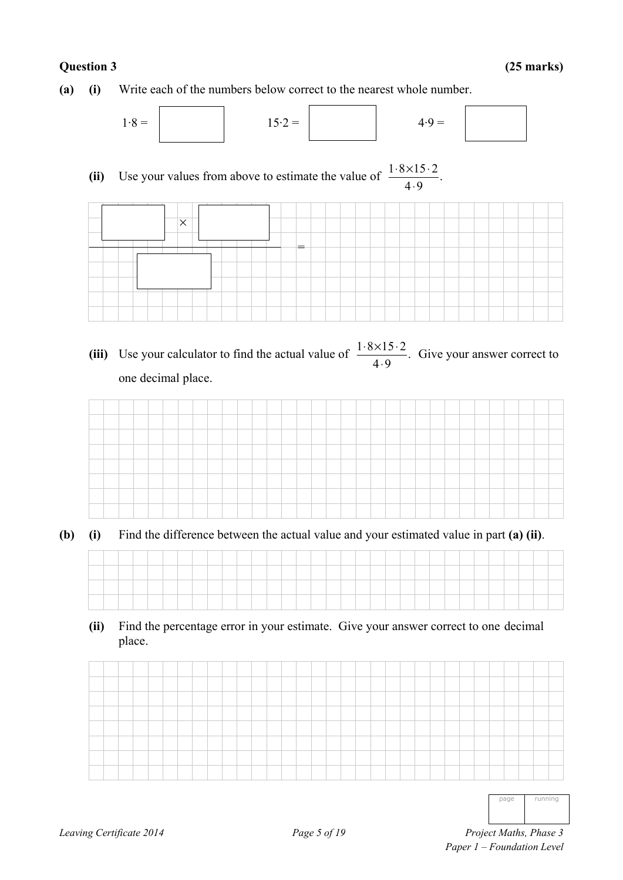**(a) (i)** Write each of the numbers below correct to the nearest whole number.



(ii) Use your values from above to estimate the value of  $\frac{1.8 \times 15.2}{4.9}$ . ⋅



(iii) Use your calculator to find the actual value of  $\frac{1 \cdot 8 \times 15 \cdot 2}{4 \cdot 9}$ . Give your answer correct to one decimal place.



**(b) (i)** Find the difference between the actual value and your estimated value in part **(a) (ii)**.

**(ii)** Find the percentage error in your estimate. Give your answer correct to one decimal place.

| ____ |  |  |  |  |  |  |  |  |  |  |  |  |  |  |  |  |
|------|--|--|--|--|--|--|--|--|--|--|--|--|--|--|--|--|
|      |  |  |  |  |  |  |  |  |  |  |  |  |  |  |  |  |
|      |  |  |  |  |  |  |  |  |  |  |  |  |  |  |  |  |
|      |  |  |  |  |  |  |  |  |  |  |  |  |  |  |  |  |

page running

*Leaving Certificate 2014 Page 5 of 19 Project Maths, Phase 3 Project Maths, Phase 3 Paper 1 – Foundation Level*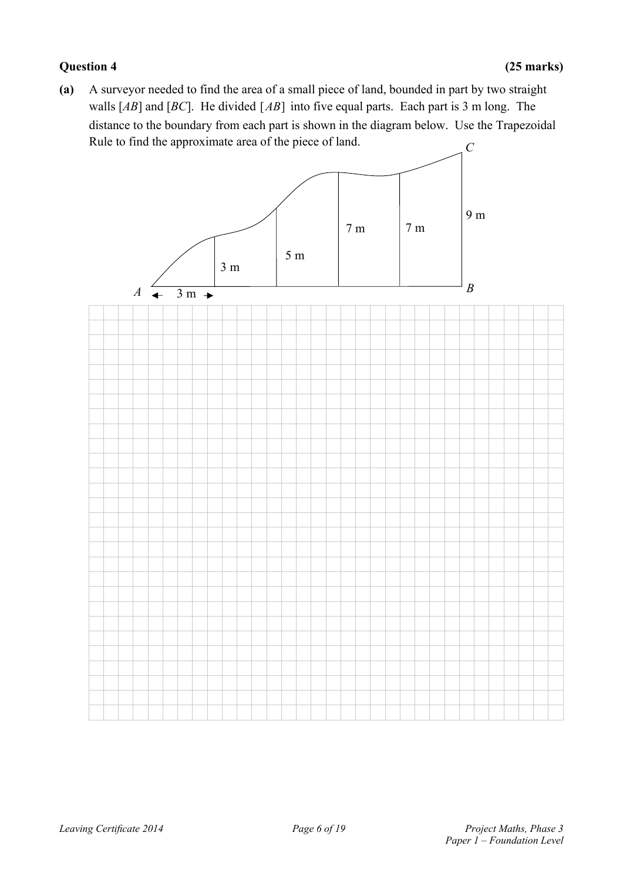#### **Question 4 (25 marks)**

**(a)** A surveyor needed to find the area of a small piece of land, bounded in part by two straight walls [AB] and [BC]. He divided [AB] into five equal parts. Each part is 3 m long. The distance to the boundary from each part is shown in the diagram below. Use the Trapezoidal Rule to find the approximate area of the piece of land. *C* 

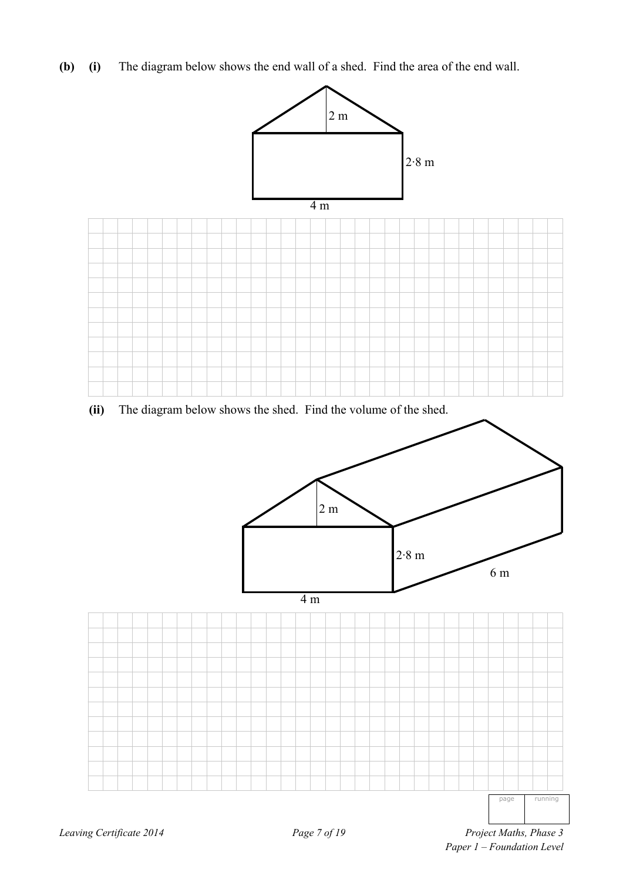**(b) (i)** The diagram below shows the end wall of a shed. Find the area of the end wall.



**(ii)** The diagram below shows the shed. Find the volume of the shed.

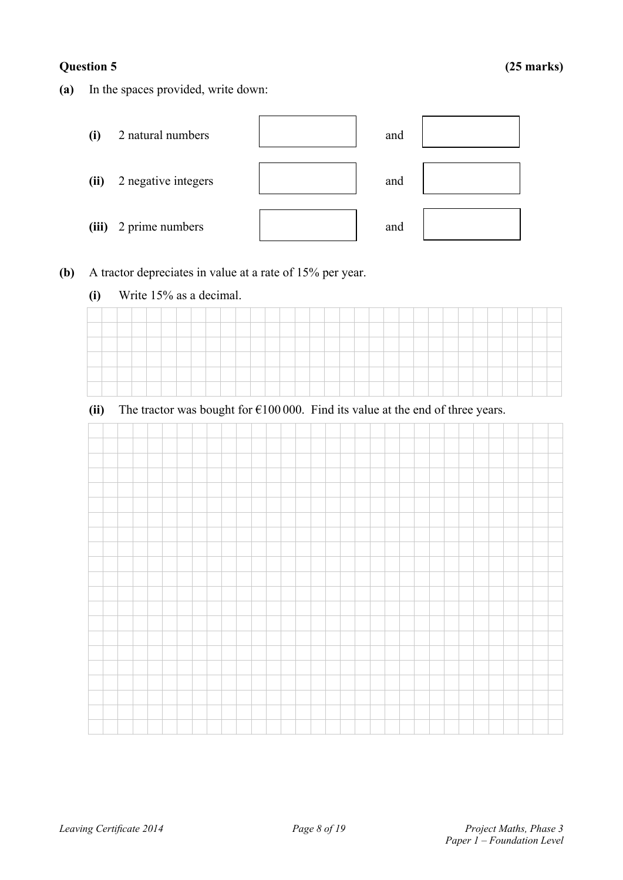**(a)** In the spaces provided, write down:



- **(b)** A tractor depreciates in value at a rate of 15% per year.
	- **(i)** Write 15% as a decimal.

**(ii)** The tractor was bought for  $\epsilon$ 100 000. Find its value at the end of three years.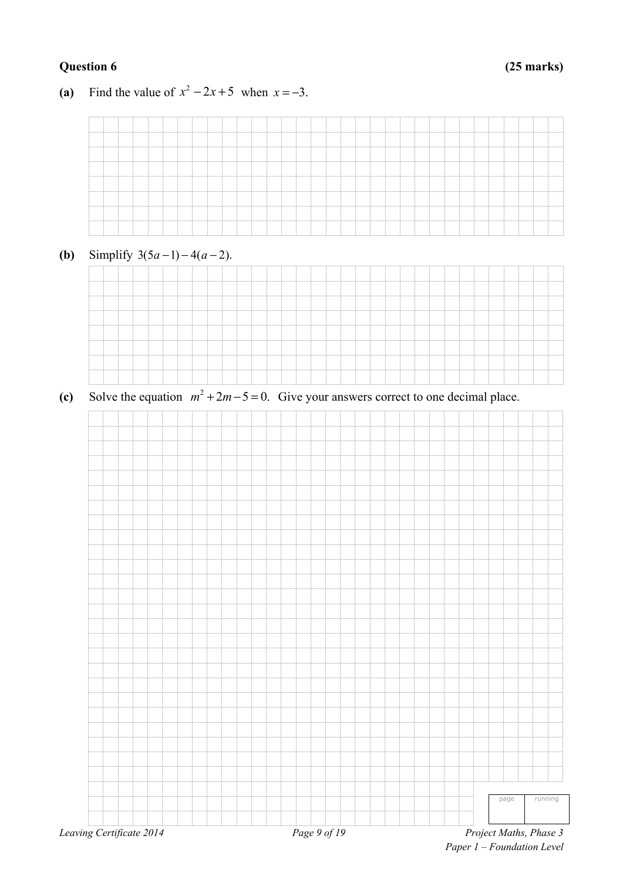### **Question 6 (25 marks)**

#### (a) Find the value of  $x^2 - 2x + 5$  when  $x = -3$ .

### **(b)** Simplify  $3(5a-1) - 4(a-2)$ .



(c) Solve the equation  $m^2 + 2m - 5 = 0$ . Give your answers correct to one decimal place.

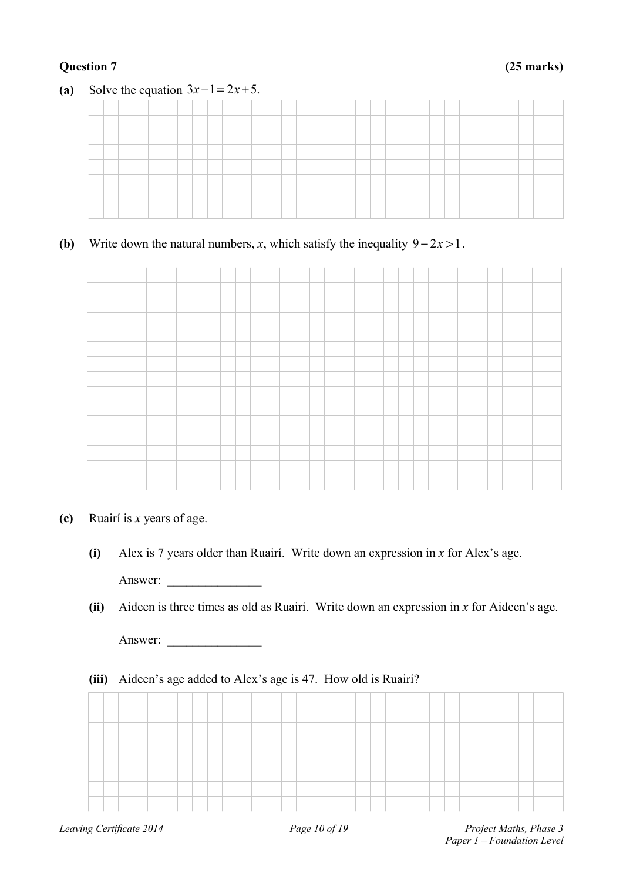#### **Question 7 (25 marks)**



## **(b)** Write down the natural numbers, *x*, which satisfy the inequality  $9 - 2x > 1$ .



- **(c)** Ruairí is *x* years of age.
	- **(i)** Alex is 7 years older than Ruairí. Write down an expression in *x* for Alex's age. Answer:
	- **(ii)** Aideen is three times as old as Ruairí. Write down an expression in *x* for Aideen's age.

Answer:

#### **(iii)** Aideen's age added to Alex's age is 47. How old is Ruairí?

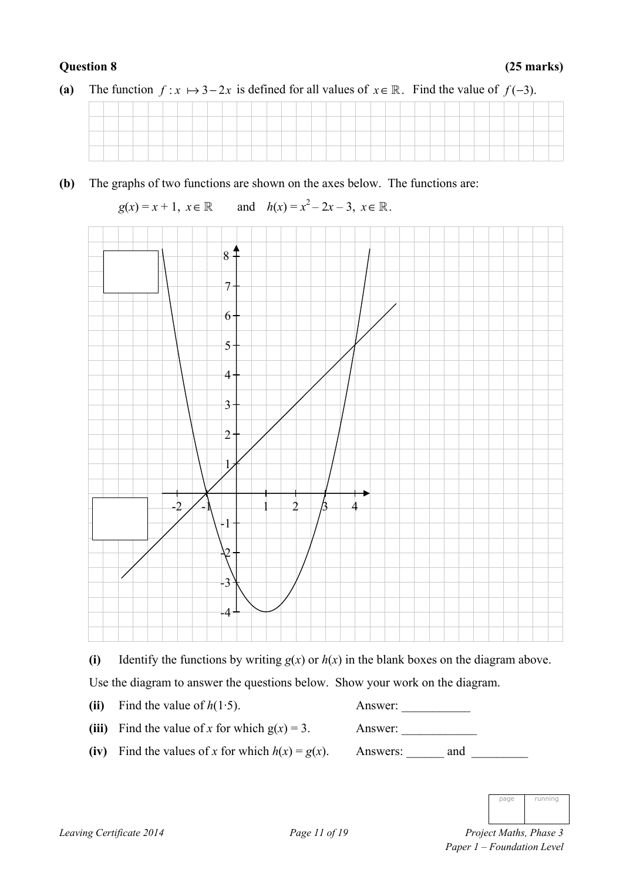**(b)** The graphs of two functions are shown on the axes below. The functions are:

 $g(x) = x + 1, x \in \mathbb{R}$ and  $h(x) = x^2 - 2x - 3$ ,  $x \in \mathbb{R}$ .



(i) Identify the functions by writing  $g(x)$  or  $h(x)$  in the blank boxes on the diagram above.

Use the diagram to answer the questions below. Show your work on the diagram.

|  | (ii) Find the value of $h(1.5)$ . |  |
|--|-----------------------------------|--|
|--|-----------------------------------|--|

| (iii) Find the value of x for which $g(x) = 3$ . |  |
|--------------------------------------------------|--|
|--------------------------------------------------|--|

**(iii)** Find the value of *x* for which g(*x*) = 3. Answer: \_\_\_\_\_\_\_\_\_\_\_\_

**(ii)** Find the value of *h*(1·5). Answer: \_\_\_\_\_\_\_\_\_\_\_

**(iv)** Find the values of *x* for which *h*(*x*) = *g*(*x*). Answers: \_\_\_\_\_\_ and \_\_\_\_\_\_\_\_\_

|  | runnin<br>O |
|--|-------------|

*Leaving Certificate 2014 Page 11 of 19 Project Maths, Phase 3 Paper 1 – Foundation Level*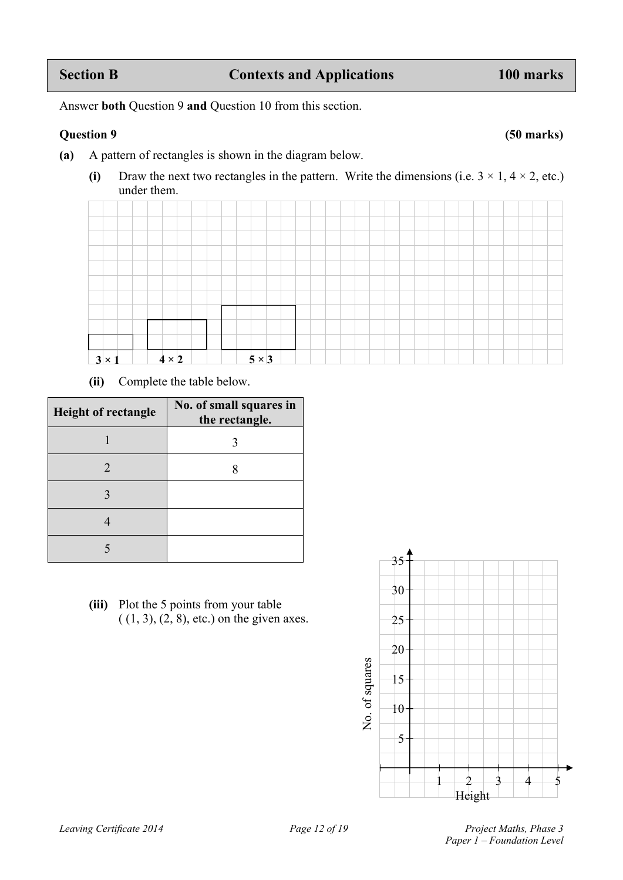Answer **both** Question 9 **and** Question 10 from this section.

#### **Question 9 (50 marks)**

- **(a)** A pattern of rectangles is shown in the diagram below.
	- (i) Draw the next two rectangles in the pattern. Write the dimensions (i.e.  $3 \times 1$ ,  $4 \times 2$ , etc.) under them.

| $3 \times 1$ |  | $4 \times 2$ |  |  | $5 \times 3$ |  |  |  |  |  |  |  |  |  |  |
|--------------|--|--------------|--|--|--------------|--|--|--|--|--|--|--|--|--|--|

**(ii)** Complete the table below.

| <b>Height of rectangle</b> | No. of small squares in<br>the rectangle. |
|----------------------------|-------------------------------------------|
|                            |                                           |
| $\mathcal{D}_{\cdot}$      |                                           |
|                            |                                           |
|                            |                                           |
|                            |                                           |

**(iii)** Plot the 5 points from your table  $( (1, 3), (2, 8),$  etc.) on the given axes.

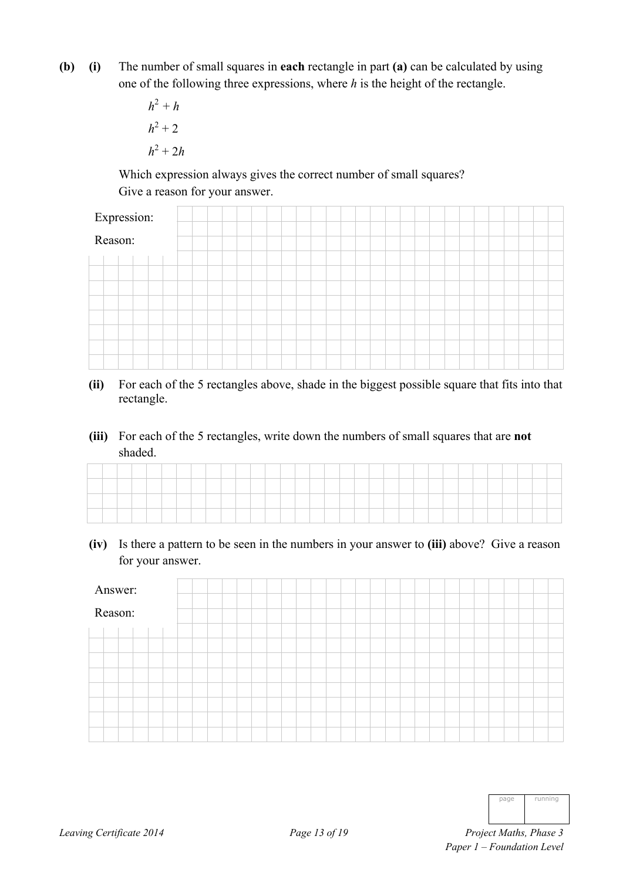- **(b) (i)** The number of small squares in **each** rectangle in part **(a)** can be calculated by using one of the following three expressions, where *h* is the height of the rectangle.
- $h^2 + h$  $h^2 + 2$  $h^2 + 2h$

 Which expression always gives the correct number of small squares? Give a reason for your answer.

| Expression: |  |  |
|-------------|--|--|
| Reason:     |  |  |
|             |  |  |
|             |  |  |
|             |  |  |
|             |  |  |
|             |  |  |
|             |  |  |
|             |  |  |
|             |  |  |

- **(ii)** For each of the 5 rectangles above, shade in the biggest possible square that fits into that rectangle.
- **(iii)** For each of the 5 rectangles, write down the numbers of small squares that are **not** shaded.

|  |  |  |  |  |  | <b>Contract Contract Contract Contract Contract Contract Contract Contract Contract Contract Contract Contract Contract Contract Contract Contract Contract Contract Contract Contract Contract Contract Contract Contract Contr</b> |  |  |  |  |  |  |  |  |  |  |
|--|--|--|--|--|--|--------------------------------------------------------------------------------------------------------------------------------------------------------------------------------------------------------------------------------------|--|--|--|--|--|--|--|--|--|--|

**(iv)** Is there a pattern to be seen in the numbers in your answer to **(iii)** above? Give a reason for your answer.

| Answer: |  |  |
|---------|--|--|
| Reason: |  |  |
|         |  |  |
|         |  |  |
|         |  |  |
|         |  |  |
|         |  |  |
|         |  |  |
|         |  |  |
|         |  |  |

| nage | running |
|------|---------|
|      |         |

*Leaving Certificate 2014 Page 13 of 19 Project Maths, Phase 3 Paper 1 – Foundation Level*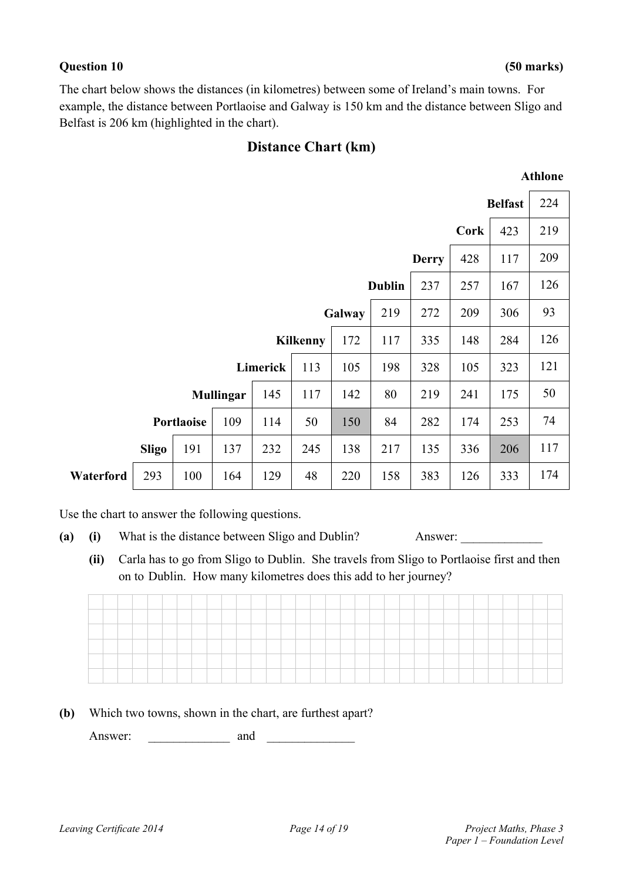#### **Question 10 (50 marks)**

The chart below shows the distances (in kilometres) between some of Ireland's main towns. For example, the distance between Portlaoise and Galway is 150 km and the distance between Sligo and Belfast is 206 km (highlighted in the chart).

### **Distance Chart (km)**

### **Athlone**

|           |              |            |                  |     |                 |        |               |              |      | <b>Belfast</b> | 224 |
|-----------|--------------|------------|------------------|-----|-----------------|--------|---------------|--------------|------|----------------|-----|
|           |              |            |                  |     |                 |        |               |              | Cork | 423            | 219 |
|           |              |            |                  |     |                 |        |               | <b>Derry</b> | 428  | 117            | 209 |
|           |              |            |                  |     |                 |        | <b>Dublin</b> | 237          | 257  | 167            | 126 |
|           |              |            |                  |     |                 | Galway | 219           | 272          | 209  | 306            | 93  |
|           |              |            |                  |     | <b>Kilkenny</b> | 172    | 117           | 335          | 148  | 284            | 126 |
|           |              |            |                  |     | 113             | 105    | 198           | 328          | 105  | 323            | 121 |
|           |              |            | <b>Mullingar</b> | 145 | 117             | 142    | 80            | 219          | 241  | 175            | 50  |
|           |              | Portlaoise | 109              | 114 | 50              | 150    | 84            | 282          | 174  | 253            | 74  |
|           | <b>Sligo</b> | 191        | 137              | 232 | 245             | 138    | 217           | 135          | 336  | 206            | 117 |
| Waterford | 293          | 100        | 164              | 129 | 48              | 220    | 158           | 383          | 126  | 333            | 174 |

Use the chart to answer the following questions.

- **(a)** (i) What is the distance between Sligo and Dublin? Answer:
	- **(ii)** Carla has to go from Sligo to Dublin. She travels from Sligo to Portlaoise first and then on to Dublin. How many kilometres does this add to her journey?

| __ |  |  |  |  |  |  |  |  |  |  |  |  |  |  |  |  |
|----|--|--|--|--|--|--|--|--|--|--|--|--|--|--|--|--|
|    |  |  |  |  |  |  |  |  |  |  |  |  |  |  |  |  |
|    |  |  |  |  |  |  |  |  |  |  |  |  |  |  |  |  |
|    |  |  |  |  |  |  |  |  |  |  |  |  |  |  |  |  |
|    |  |  |  |  |  |  |  |  |  |  |  |  |  |  |  |  |
|    |  |  |  |  |  |  |  |  |  |  |  |  |  |  |  |  |
|    |  |  |  |  |  |  |  |  |  |  |  |  |  |  |  |  |
|    |  |  |  |  |  |  |  |  |  |  |  |  |  |  |  |  |
|    |  |  |  |  |  |  |  |  |  |  |  |  |  |  |  |  |
| _  |  |  |  |  |  |  |  |  |  |  |  |  |  |  |  |  |
|    |  |  |  |  |  |  |  |  |  |  |  |  |  |  |  |  |

**(b)** Which two towns, shown in the chart, are furthest apart?

Answer:  $\Box$  and  $\Box$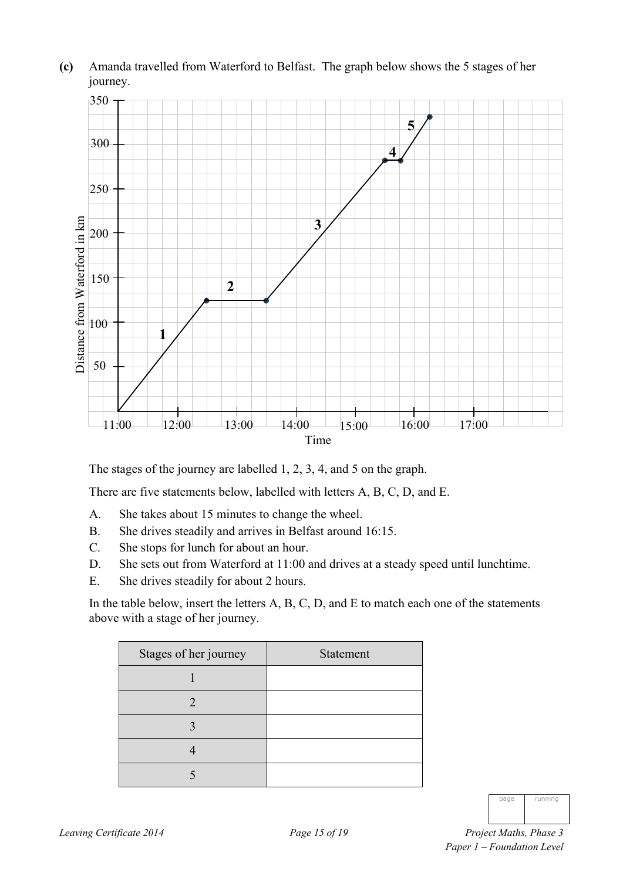

**(c)** Amanda travelled from Waterford to Belfast. The graph below shows the 5 stages of her journey.

The stages of the journey are labelled 1, 2, 3, 4, and 5 on the graph.

There are five statements below, labelled with letters A, B, C, D, and E.

- A. She takes about 15 minutes to change the wheel.
- B. She drives steadily and arrives in Belfast around 16:15.
- C. She stops for lunch for about an hour.
- D. She sets out from Waterford at 11:00 and drives at a steady speed until lunchtime.
- E. She drives steadily for about 2 hours.

In the table below, insert the letters A, B, C, D, and E to match each one of the statements above with a stage of her journey.

| <b>Statement</b> |
|------------------|
|                  |
|                  |
|                  |
|                  |
|                  |
|                  |

| nage | running |
|------|---------|
|      |         |

*Leaving Certificate 2014 Page 15 of 19 Project Maths, Phase 3 Paper 1 – Foundation Level*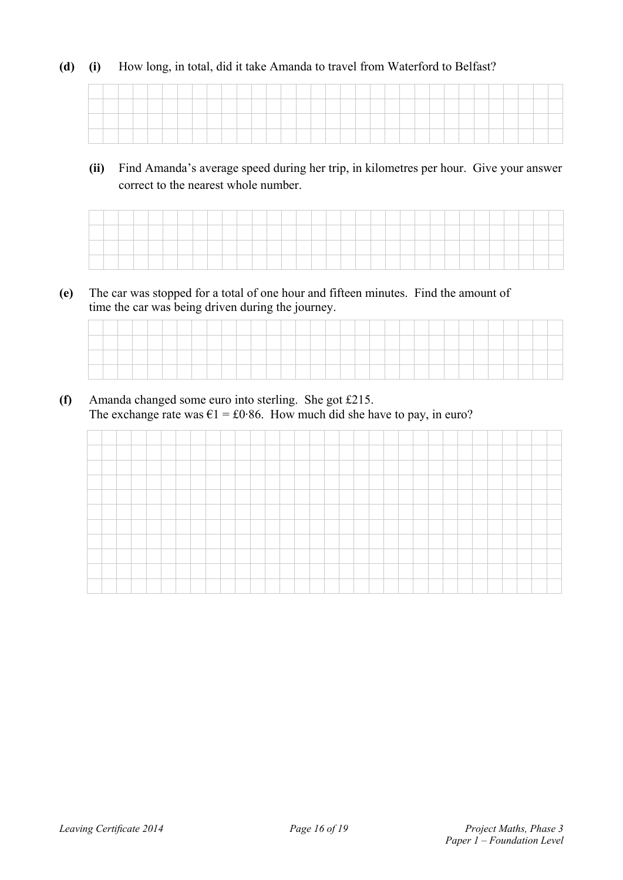#### **(d) (i)** How long, in total, did it take Amanda to travel from Waterford to Belfast?

**(ii)** Find Amanda's average speed during her trip, in kilometres per hour. Give your answer correct to the nearest whole number.

**(e)** The car was stopped for a total of one hour and fifteen minutes. Find the amount of time the car was being driven during the journey.

**(f)** Amanda changed some euro into sterling. She got £215. The exchange rate was  $\epsilon$ 1 = £0.86. How much did she have to pay, in euro?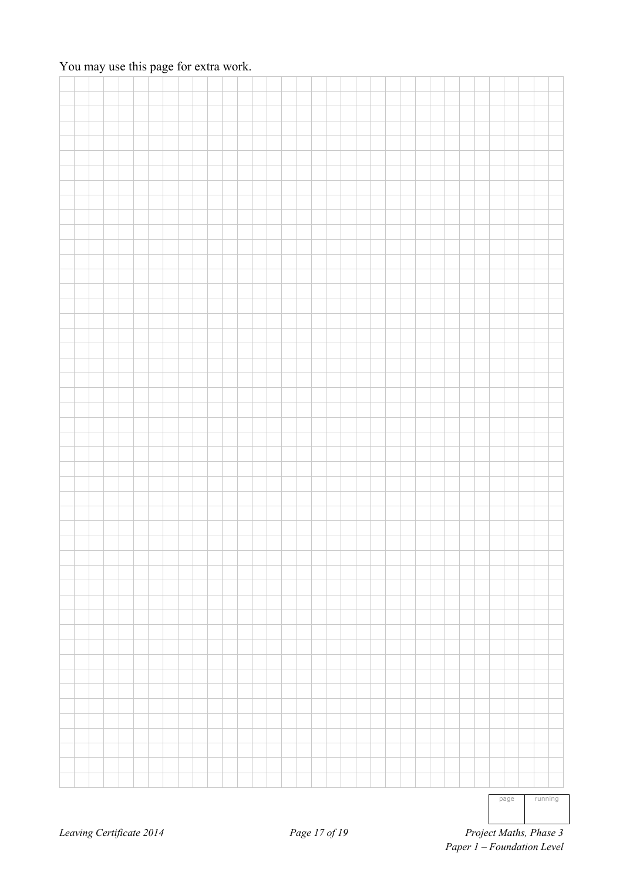### You may use this page for extra work.

|  |  |  |  |  |  |  |  |  |  |  |  |  |  |  | page | running |  |
|--|--|--|--|--|--|--|--|--|--|--|--|--|--|--|------|---------|--|
|  |  |  |  |  |  |  |  |  |  |  |  |  |  |  |      |         |  |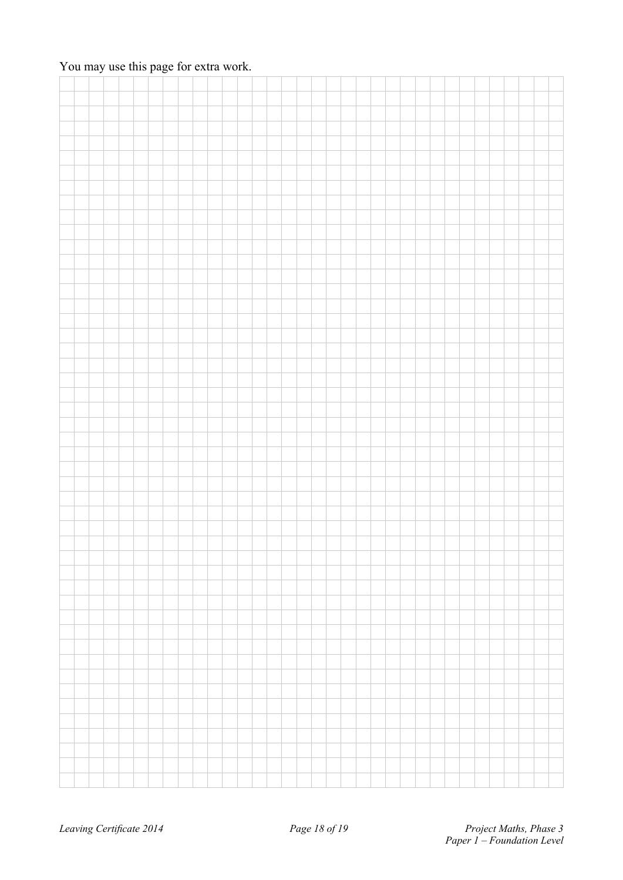### You may use this page for extra work.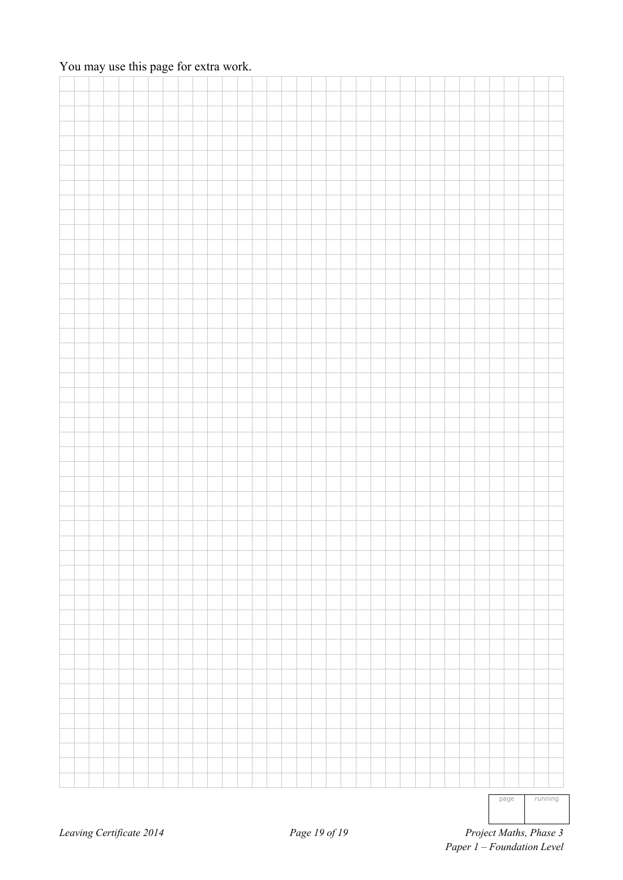### You may use this page for extra work.

|  |  |  |  |  |  |  |  |  |  |  |  |  |  |  | page | running |
|--|--|--|--|--|--|--|--|--|--|--|--|--|--|--|------|---------|
|  |  |  |  |  |  |  |  |  |  |  |  |  |  |  |      |         |
|  |  |  |  |  |  |  |  |  |  |  |  |  |  |  |      |         |